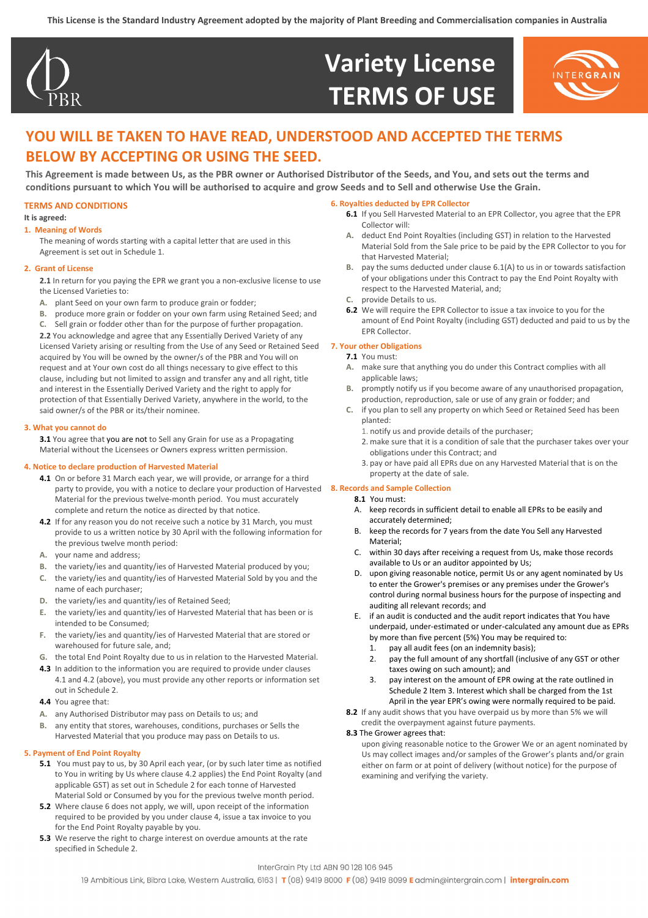

## **Variety License TERMS OF USE**



## **YOU WILL BE TAKEN TO HAVE READ, UNDERSTOOD AND ACCEPTED THE TERMS BELOW BY ACCEPTING OR USING THE SEED.**

**This Agreement is made between Us, as the PBR owner or Authorised Distributor of the Seeds, and You, and sets out the terms and conditions pursuant to which You will be authorised to acquire and grow Seeds and to Sell and otherwise Use the Grain.**

#### **TERMS AND CONDITIONS**

#### **It is agreed:**

#### **1. Meaning of Words**

The meaning of words starting with a capital letter that are used in this Agreement is set out in Schedule 1.

#### **2. Grant of License**

- **2.1** In return for you paying the EPR we grant you a non-exclusive license to use the Licensed Varieties to:
- **A.** plant Seed on your own farm to produce grain or fodder;
- **B.** produce more grain or fodder on your own farm using Retained Seed; and

**C.** Sell grain or fodder other than for the purpose of further propagation. **2.2** You acknowledge and agree that any Essentially Derived Variety of any Licensed Variety arising or resulting from the Use of any Seed or Retained Seed acquired by You will be owned by the owner/s of the PBR and You will on request and at Your own cost do all things necessary to give effect to this clause, including but not limited to assign and transfer any and all right, title and interest in the Essentially Derived Variety and the right to apply for protection of that Essentially Derived Variety, anywhere in the world, to the said owner/s of the PBR or its/their nominee.

#### **3. What you cannot do**

**3.1** You agree that you are not to Sell any Grain for use as a Propagating Material without the Licensees or Owners express written permission.

#### **4. Notice to declare production of Harvested Material**

- **4.1** On or before 31 March each year, we will provide, or arrange for a third party to provide, you with a notice to declare your production of Harvested **8. Records and Sample Collection** Material for the previous twelve-month period. You must accurately complete and return the notice as directed by that notice.
- **4.2** If for any reason you do not receive such a notice by 31 March, you must provide to us a written notice by 30 April with the following information for the previous twelve month period:
- **A.** your name and address;
- **B.** the variety/ies and quantity/ies of Harvested Material produced by you;
- **C.** the variety/ies and quantity/ies of Harvested Material Sold by you and the name of each purchaser;
- **D.** the variety/ies and quantity/ies of Retained Seed;
- **E.** the variety/ies and quantity/ies of Harvested Material that has been or is intended to be Consumed;
- **F.** the variety/ies and quantity/ies of Harvested Material that are stored or warehoused for future sale, and;
- **G.** the total End Point Royalty due to us in relation to the Harvested Material.
- **4.3** In addition to the information you are required to provide under clauses 4.1 and 4.2 (above), you must provide any other reports or information set out in Schedule 2.
- **4.4** You agree that:
- **A.** any Authorised Distributor may pass on Details to us; and
- **B.** any entity that stores, warehouses, conditions, purchases or Sells the Harvested Material that you produce may pass on Details to us.

#### **5. Payment of End Point Royalty**

- **5.1** You must pay to us, by 30 April each year, (or by such later time as notified to You in writing by Us where clause 4.2 applies) the End Point Royalty (and applicable GST) as set out in Schedule 2 for each tonne of Harvested Material Sold or Consumed by you for the previous twelve month period.
- **5.2** Where clause 6 does not apply, we will, upon receipt of the information required to be provided by you under clause 4, issue a tax invoice to you for the End Point Royalty payable by you.
- **5.3** We reserve the right to charge interest on overdue amounts at the rate specified in Schedule 2.

#### **6. Royalties deducted by EPR Collector**

- **6.1** If you Sell Harvested Material to an EPR Collector, you agree that the EPR Collector will:
- **A.** deduct End Point Royalties (including GST) in relation to the Harvested Material Sold from the Sale price to be paid by the EPR Collector to you for that Harvested Material;
- **B.** pay the sums deducted under clause 6.1(A) to us in or towards satisfaction of your obligations under this Contract to pay the End Point Royalty with respect to the Harvested Material, and;
- **C.** provide Details to us.
- **6.2** We will require the EPR Collector to issue a tax invoice to you for the amount of End Point Royalty (including GST) deducted and paid to us by the EPR Collector.

#### **7. Your other Obligations**

#### **7.1** You must:

- **A.** make sure that anything you do under this Contract complies with all applicable laws;
- **B.** promptly notify us if you become aware of any unauthorised propagation, production, reproduction, sale or use of any grain or fodder; and
- **C.** if you plan to sell any property on which Seed or Retained Seed has been planted:
	- 1. notify us and provide details of the purchaser;
	- 2. make sure that it is a condition of sale that the purchaser takes over your obligations under this Contract; and
	- 3. pay or have paid all EPRs due on any Harvested Material that is on the property at the date of sale.

**8.1** You must:

- A. keep records in sufficient detail to enable all EPRs to be easily and accurately determined;
- B. keep the records for 7 years from the date You Sell any Harvested Material;
- C. within 30 days after receiving a request from Us, make those records available to Us or an auditor appointed by Us;
- D. upon giving reasonable notice, permit Us or any agent nominated by Us to enter the Grower's premises or any premises under the Grower's control during normal business hours for the purpose of inspecting and auditing all relevant records; and
- E. if an audit is conducted and the audit report indicates that You have underpaid, under-estimated or under-calculated any amount due as EPRs by more than five percent (5%) You may be required to:
	- 1. pay all audit fees (on an indemnity basis);
	- 2. pay the full amount of any shortfall (inclusive of any GST or other taxes owing on such amount); and
	- pay interest on the amount of EPR owing at the rate outlined in Schedule 2 Item 3. Interest which shall be charged from the 1st April in the year EPR's owing were normally required to be paid.
- **8.2** If any audit shows that you have overpaid us by more than 5% we will credit the overpayment against future payments.

#### **8.3** The Grower agrees that:

upon giving reasonable notice to the Grower We or an agent nominated by Us may collect images and/or samples of the Grower's plants and/or grain either on farm or at point of delivery (without notice) for the purpose of examining and verifying the variety.

#### InterGrain Pty Ltd ABN 90 128 106 945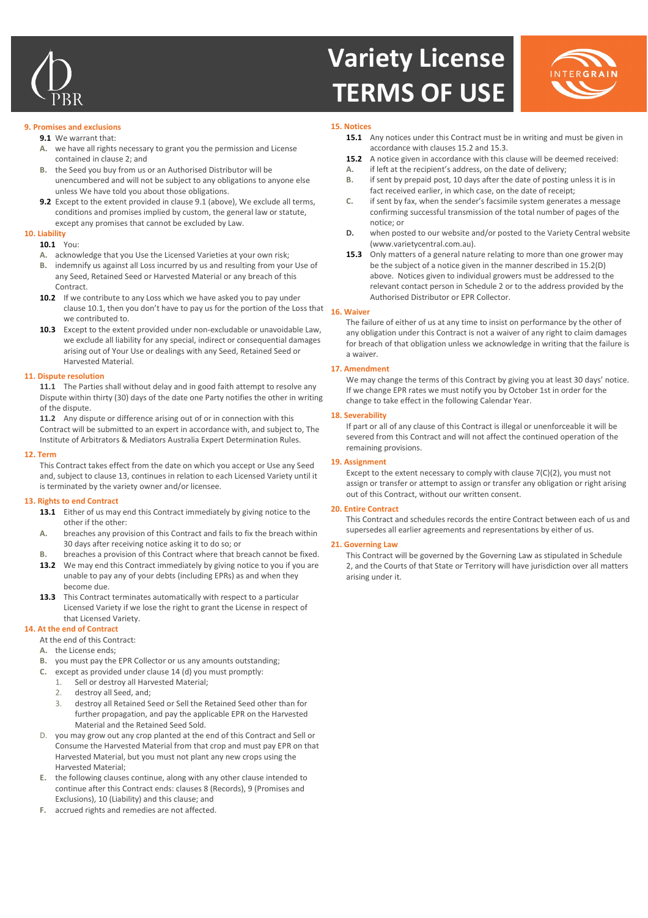

# **Variety License TERMS OF USE**



#### **9. Promises and exclusions**

- **9.1** We warrant that:
- **A.** we have all rights necessary to grant you the permission and License contained in clause 2; and
- **B.** the Seed you buy from us or an Authorised Distributor will be unencumbered and will not be subject to any obligations to anyone else unless We have told you about those obligations.
- **9.2** Except to the extent provided in clause 9.1 (above), We exclude all terms, conditions and promises implied by custom, the general law or statute, except any promises that cannot be excluded by Law.

### **10. Liability**

- **10.1** You:
- **A.** acknowledge that you Use the Licensed Varieties at your own risk;
- **B.** indemnify us against all Loss incurred by us and resulting from your Use of any Seed, Retained Seed or Harvested Material or any breach of this Contract.
- 10.2 If we contribute to any Loss which we have asked you to pay under clause 10.1, then you don't have to pay us for the portion of the Loss that **16. Waiver** we contributed to.
- **10.3** Except to the extent provided under non-excludable or unavoidable Law, we exclude all liability for any special, indirect or consequential damages arising out of Your Use or dealings with any Seed, Retained Seed or Harvested Material.

#### **11. Dispute resolution**

**11.1** The Parties shall without delay and in good faith attempt to resolve any Dispute within thirty (30) days of the date one Party notifies the other in writing of the dispute.

**11.2** Any dispute or difference arising out of or in connection with this Contract will be submitted to an expert in accordance with, and subject to, The Institute of Arbitrators & Mediators Australia Expert Determination Rules.

#### **12. Term**

This Contract takes effect from the date on which you accept or Use any Seed and, subject to clause 13, continues in relation to each Licensed Variety until it is terminated by the variety owner and/or licensee.

#### **13. Rights to end Contract**

- **13.1** Either of us may end this Contract immediately by giving notice to the other if the other:
- **A.** breaches any provision of this Contract and fails to fix the breach within 30 days after receiving notice asking it to do so; or
- **B.** breaches a provision of this Contract where that breach cannot be fixed.
- 13.2 We may end this Contract immediately by giving notice to you if you are unable to pay any of your debts (including EPRs) as and when they become due.
- **13.3** This Contract terminates automatically with respect to a particular Licensed Variety if we lose the right to grant the License in respect of that Licensed Variety.

#### **14. At the end of Contract**

#### At the end of this Contract:

- **A.** the License ends;
- **B.** you must pay the EPR Collector or us any amounts outstanding;
- **C.** except as provided under clause 14 (d) you must promptly:
	- 1. Sell or destroy all Harvested Material;
		- 2. destroy all Seed, and;
		- 3. destroy all Retained Seed or Sell the Retained Seed other than for further propagation, and pay the applicable EPR on the Harvested Material and the Retained Seed Sold.
- D. you may grow out any crop planted at the end of this Contract and Sell or Consume the Harvested Material from that crop and must pay EPR on that Harvested Material, but you must not plant any new crops using the Harvested Material;
- **E.** the following clauses continue, along with any other clause intended to continue after this Contract ends: clauses 8 (Records), 9 (Promises and Exclusions), 10 (Liability) and this clause; and
- **F.** accrued rights and remedies are not affected.

#### **15. Notices**

- **15.1** Any notices under this Contract must be in writing and must be given in accordance with clauses 15.2 and 15.3.
- **15.2** A notice given in accordance with this clause will be deemed received: **A.** if left at the recipient's address, on the date of delivery;
- **B.** if sent by prepaid post, 10 days after the date of posting unless it is in fact received earlier, in which case, on the date of receipt;
- **C.** if sent by fax, when the sender's facsimile system generates a message confirming successful transmission of the total number of pages of the notice; or
- **D.** when posted to our website and/or posted to the Variety Central website [\(www.varietycentral.com.au\).](http://www.varietycentral.com.au/)
- **15.3** Only matters of a general nature relating to more than one grower may be the subject of a notice given in the manner described in 15.2(D) above. Notices given to individual growers must be addressed to the relevant contact person in Schedule 2 or to the address provided by the Authorised Distributor or EPR Collector.

The failure of either of us at any time to insist on performance by the other of any obligation under this Contract is not a waiver of any right to claim damages for breach of that obligation unless we acknowledge in writing that the failure is a waiver.

#### **17. Amendment**

We may change the terms of this Contract by giving you at least 30 days' notice. If we change EPR rates we must notify you by October 1st in order for the change to take effect in the following Calendar Year.

#### **18. Severability**

If part or all of any clause of this Contract is illegal or unenforceable it will be severed from this Contract and will not affect the continued operation of the remaining provisions.

#### **19. Assignment**

Except to the extent necessary to comply with clause 7(C)(2), you must not assign or transfer or attempt to assign or transfer any obligation or right arising out of this Contract, without our written consent.

#### **20. Entire Contract**

This Contract and schedules records the entire Contract between each of us and supersedes all earlier agreements and representations by either of us.

#### **21. Governing Law**

This Contract will be governed by the Governing Law as stipulated in Schedule 2, and the Courts of that State or Territory will have jurisdiction over all matters arising under it.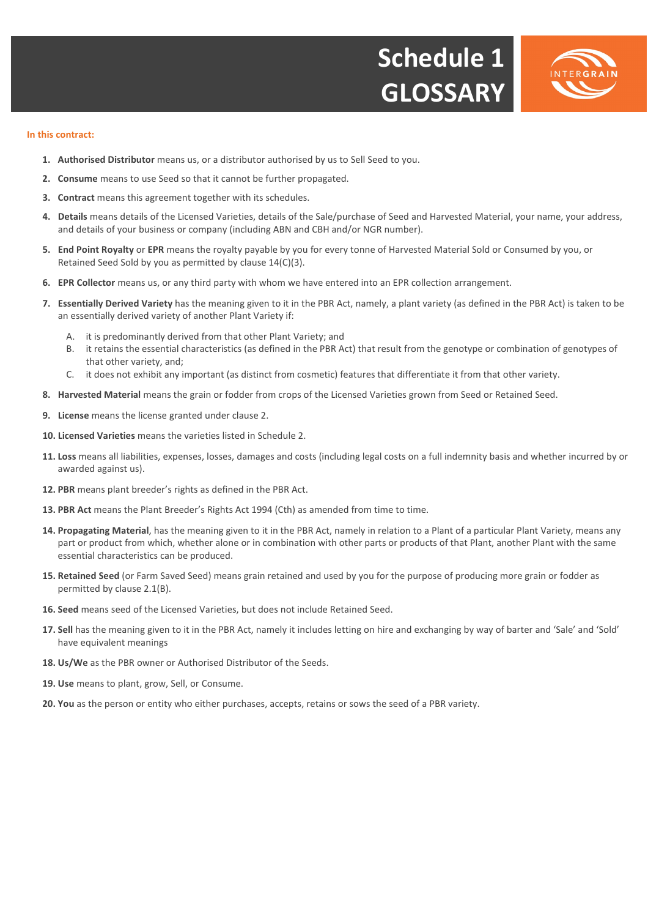



#### **In this contract:**

- **1. Authorised Distributor** means us, or a distributor authorised by us to Sell Seed to you.
- **2. Consume** means to use Seed so that it cannot be further propagated.
- **3. Contract** means this agreement together with its schedules.
- **4. Details** means details of the Licensed Varieties, details of the Sale/purchase of Seed and Harvested Material, your name, your address, and details of your business or company (including ABN and CBH and/or NGR number).
- **5. End Point Royalty** or **EPR** means the royalty payable by you for every tonne of Harvested Material Sold or Consumed by you, or Retained Seed Sold by you as permitted by clause 14(C)(3).
- **6. EPR Collector** means us, or any third party with whom we have entered into an EPR collection arrangement.
- **7. Essentially Derived Variety** has the meaning given to it in the PBR Act, namely, a plant variety (as defined in the PBR Act) is taken to be an essentially derived variety of another Plant Variety if:
	- A. it is predominantly derived from that other Plant Variety; and
	- B. it retains the essential characteristics (as defined in the PBR Act) that result from the genotype or combination of genotypes of that other variety, and;
	- C. it does not exhibit any important (as distinct from cosmetic) features that differentiate it from that other variety.
- **8. Harvested Material** means the grain or fodder from crops of the Licensed Varieties grown from Seed or Retained Seed.
- **9. License** means the license granted under clause 2.
- **10. Licensed Varieties** means the varieties listed in Schedule 2.
- **11. Loss** means all liabilities, expenses, losses, damages and costs (including legal costs on a full indemnity basis and whether incurred by or awarded against us).
- **12. PBR** means plant breeder's rights as defined in the PBR Act.
- **13. PBR Act** means the Plant Breeder's Rights Act 1994 (Cth) as amended from time to time.
- **14. Propagating Material**, has the meaning given to it in the PBR Act, namely in relation to a Plant of a particular Plant Variety, means any part or product from which, whether alone or in combination with other parts or products of that Plant, another Plant with the same essential characteristics can be produced.
- **15. Retained Seed** (or Farm Saved Seed) means grain retained and used by you for the purpose of producing more grain or fodder as permitted by clause 2.1(B).
- **16. Seed** means seed of the Licensed Varieties, but does not include Retained Seed.
- **17. Sell** has the meaning given to it in the PBR Act, namely it includes letting on hire and exchanging by way of barter and 'Sale' and 'Sold' have equivalent meanings
- **18. Us/We** as the PBR owner or Authorised Distributor of the Seeds.
- **19. Use** means to plant, grow, Sell, or Consume.
- **20. You** as the person or entity who either purchases, accepts, retains or sows the seed of a PBR variety.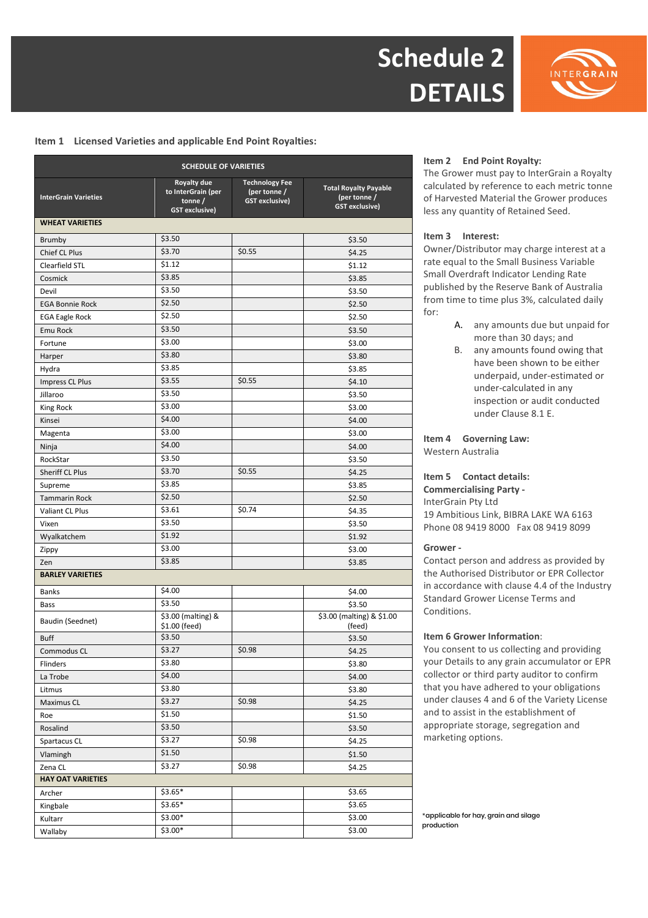



#### **Item 1 Licensed Varieties and applicable End Point Royalties:**

| <b>SCHEDULE OF VARIETIES</b> |                                                                      |                                                                |                                                                       |
|------------------------------|----------------------------------------------------------------------|----------------------------------------------------------------|-----------------------------------------------------------------------|
| <b>InterGrain Varieties</b>  | Royalty due<br>to InterGrain (per<br>tonne/<br><b>GST</b> exclusive) | <b>Technology Fee</b><br>(per tonne /<br><b>GST</b> exclusive) | <b>Total Royalty Payable</b><br>(per tonne /<br><b>GST exclusive)</b> |
| <b>WHEAT VARIETIES</b>       |                                                                      |                                                                |                                                                       |
| <b>Brumby</b>                | \$3.50                                                               |                                                                | \$3.50                                                                |
| Chief CL Plus                | \$3.70                                                               | \$0.55                                                         | \$4.25                                                                |
| Clearfield STL               | \$1.12                                                               |                                                                | \$1.12                                                                |
| Cosmick                      | \$3.85                                                               |                                                                | \$3.85                                                                |
| Devil                        | \$3.50                                                               |                                                                | \$3.50                                                                |
| <b>EGA Bonnie Rock</b>       | \$2.50                                                               |                                                                | \$2.50                                                                |
| <b>EGA Eagle Rock</b>        | \$2.50                                                               |                                                                | \$2.50                                                                |
| Emu Rock                     | \$3.50                                                               |                                                                | \$3.50                                                                |
| Fortune                      | \$3.00                                                               |                                                                | \$3.00                                                                |
| Harper                       | \$3.80                                                               |                                                                | \$3.80                                                                |
| Hydra                        | \$3.85                                                               |                                                                | \$3.85                                                                |
| Impress CL Plus              | \$3.55                                                               | \$0.55                                                         | \$4.10                                                                |
| Jillaroo                     | \$3.50                                                               |                                                                | \$3.50                                                                |
| King Rock                    | \$3.00                                                               |                                                                | \$3.00                                                                |
| Kinsei                       | \$4.00                                                               |                                                                | \$4.00                                                                |
| Magenta                      | \$3.00                                                               |                                                                | \$3.00                                                                |
| Ninja                        | \$4.00                                                               |                                                                | \$4.00                                                                |
| RockStar                     | \$3.50                                                               |                                                                | \$3.50                                                                |
| <b>Sheriff CL Plus</b>       | \$3.70                                                               | \$0.55                                                         | \$4.25                                                                |
| Supreme                      | \$3.85                                                               |                                                                | \$3.85                                                                |
| <b>Tammarin Rock</b>         | \$2.50                                                               |                                                                | \$2.50                                                                |
| <b>Valiant CL Plus</b>       | \$3.61                                                               | \$0.74                                                         | \$4.35                                                                |
| Vixen                        | \$3.50                                                               |                                                                | \$3.50                                                                |
| Wyalkatchem                  | \$1.92                                                               |                                                                | \$1.92                                                                |
| Zippy                        | \$3.00                                                               |                                                                | \$3.00                                                                |
| Zen                          | \$3.85                                                               |                                                                | \$3.85                                                                |
| <b>BARLEY VARIETIES</b>      |                                                                      |                                                                |                                                                       |
| <b>Banks</b>                 | \$4.00                                                               |                                                                | \$4.00                                                                |
| Bass                         | \$3.50                                                               |                                                                | \$3.50                                                                |
| Baudin (Seednet)             | \$3.00 (malting) &<br>\$1.00 (feed)                                  |                                                                | \$3.00 (malting) & \$1.00<br>(feed)                                   |
| <b>Buff</b>                  | \$3.50                                                               |                                                                | \$3.50                                                                |
| Commodus CL                  | \$3.27                                                               | \$0.98                                                         | \$4.25                                                                |
| Flinders                     | \$3.80                                                               |                                                                | \$3.80                                                                |
| La Trobe                     | \$4.00                                                               |                                                                | \$4.00                                                                |
| Litmus                       | \$3.80                                                               |                                                                | \$3.80                                                                |
| Maximus CL                   | \$3.27                                                               | \$0.98                                                         | \$4.25                                                                |
| Roe                          | \$1.50                                                               |                                                                | \$1.50                                                                |
| Rosalind                     | \$3.50                                                               |                                                                | \$3.50                                                                |
| Spartacus CL                 | \$3.27                                                               | \$0.98                                                         | \$4.25                                                                |
| Vlamingh                     | \$1.50                                                               |                                                                | \$1.50                                                                |
| Zena CL                      | \$3.27                                                               | \$0.98                                                         | \$4.25                                                                |
| <b>HAY OAT VARIETIES</b>     |                                                                      |                                                                |                                                                       |
| Archer                       | $$3.65*$                                                             |                                                                | \$3.65                                                                |
| Kingbale                     | $$3.65*$                                                             |                                                                | \$3.65                                                                |
| Kultarr                      | \$3.00*                                                              |                                                                | \$3.00                                                                |
| Wallaby                      | $$3.00*$                                                             |                                                                | \$3.00                                                                |
|                              |                                                                      |                                                                |                                                                       |

#### **Item 2 End Point Royalty:**

The Grower must pay to InterGrain a Royalty calculated by reference to each metric tonne of Harvested Material the Grower produces less any quantity of Retained Seed.

#### **Item 3 Interest:**

Owner/Distributor may charge interest at a rate equal to the Small Business Variable Small Overdraft Indicator Lending Rate published by the Reserve Bank of Australia from time to time plus 3%, calculated daily for:

- A. any amounts due but unpaid for more than 30 days; and
- B. any amounts found owing that have been shown to be either underpaid, under-estimated or under-calculated in any inspection or audit conducted under Clause 8.1 E.

**Item 4 Governing Law:**  Western Australia

#### **Item 5 Contact details:**

**Commercialising Party -**  InterGrain Pty Ltd 19 Ambitious Link, BIBRA LAKE WA 6163 Phone 08 9419 8000 Fax 08 9419 8099

#### **Grower -**

Contact person and address as provided by the Authorised Distributor or EPR Collector in accordance with clause 4.4 of the Industry Standard Grower License Terms and Conditions.

#### **Item 6 Grower Information**:

You consent to us collecting and providing your Details to any grain accumulator or EPR collector or third party auditor to confirm that you have adhered to your obligations under clauses 4 and 6 of the Variety License and to assist in the establishment of appropriate storage, segregation and marketing options.

\*applicable for hay, grain and silage production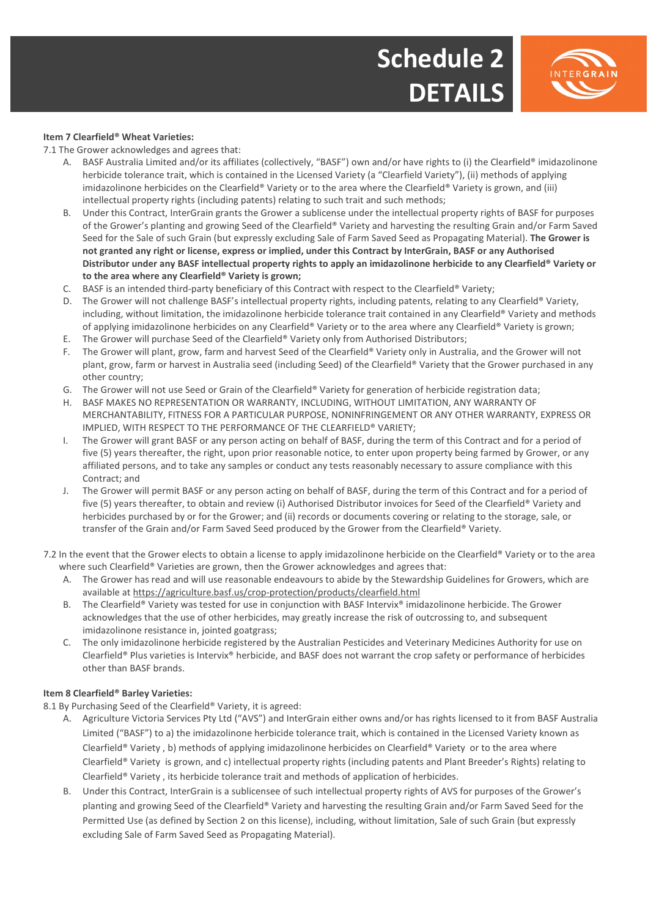



### **Item 7 Clearfield® Wheat Varieties:**

7.1 The Grower acknowledges and agrees that:

- A. BASF Australia Limited and/or its affiliates (collectively, "BASF") own and/or have rights to (i) the Clearfield® imidazolinone herbicide tolerance trait, which is contained in the Licensed Variety (a "Clearfield Variety"), (ii) methods of applying imidazolinone herbicides on the Clearfield® Variety or to the area where the Clearfield® Variety is grown, and (iii) intellectual property rights (including patents) relating to such trait and such methods;
- B. Under this Contract, InterGrain grants the Grower a sublicense under the intellectual property rights of BASF for purposes of the Grower's planting and growing Seed of the Clearfield® Variety and harvesting the resulting Grain and/or Farm Saved Seed for the Sale of such Grain (but expressly excluding Sale of Farm Saved Seed as Propagating Material). **The Grower is not granted any right or license, express or implied, under this Contract by InterGrain, BASF or any Authorised Distributor under any BASF intellectual property rights to apply an imidazolinone herbicide to any Clearfield® Variety or to the area where any Clearfield® Variety is grown;**
- C. BASF is an intended third-party beneficiary of this Contract with respect to the Clearfield® Variety;
- D. The Grower will not challenge BASF's intellectual property rights, including patents, relating to any Clearfield® Variety, including, without limitation, the imidazolinone herbicide tolerance trait contained in any Clearfield® Variety and methods of applying imidazolinone herbicides on any Clearfield® Variety or to the area where any Clearfield® Variety is grown;
- E. The Grower will purchase Seed of the Clearfield® Variety only from Authorised Distributors;
- F. The Grower will plant, grow, farm and harvest Seed of the Clearfield® Variety only in Australia, and the Grower will not plant, grow, farm or harvest in Australia seed (including Seed) of the Clearfield® Variety that the Grower purchased in any other country;
- G. The Grower will not use Seed or Grain of the Clearfield® Variety for generation of herbicide registration data;
- H. BASF MAKES NO REPRESENTATION OR WARRANTY, INCLUDING, WITHOUT LIMITATION, ANY WARRANTY OF MERCHANTABILITY, FITNESS FOR A PARTICULAR PURPOSE, NONINFRINGEMENT OR ANY OTHER WARRANTY, EXPRESS OR IMPLIED, WITH RESPECT TO THE PERFORMANCE OF THE CLEARFIELD® VARIETY;
- I. The Grower will grant BASF or any person acting on behalf of BASF, during the term of this Contract and for a period of five (5) years thereafter, the right, upon prior reasonable notice, to enter upon property being farmed by Grower, or any affiliated persons, and to take any samples or conduct any tests reasonably necessary to assure compliance with this Contract; and
- J. The Grower will permit BASF or any person acting on behalf of BASF, during the term of this Contract and for a period of five (5) years thereafter, to obtain and review (i) Authorised Distributor invoices for Seed of the Clearfield® Variety and herbicides purchased by or for the Grower; and (ii) records or documents covering or relating to the storage, sale, or transfer of the Grain and/or Farm Saved Seed produced by the Grower from the Clearfield® Variety.
- 7.2 In the event that the Grower elects to obtain a license to apply imidazolinone herbicide on the Clearfield® Variety or to the area where such Clearfield® Varieties are grown, then the Grower acknowledges and agrees that:
	- A. The Grower has read and will use reasonable endeavours to abide by the Stewardship Guidelines for Growers, which are available at https://agriculture.basf.us/crop-protection/products/clearfield.html
	- B. The Clearfield® Variety was tested for use in conjunction with BASF Intervix® imidazolinone herbicide. The Grower acknowledges that the use of other herbicides, may greatly increase the risk of outcrossing to, and subsequent imidazolinone resistance in, jointed goatgrass;
	- C. The only imidazolinone herbicide registered by the Australian Pesticides and Veterinary Medicines Authority for use on Clearfield® Plus varieties is Intervix® herbicide, and BASF does not warrant the crop safety or performance of herbicides other than BASF brands.

### **Item 8 Clearfield® Barley Varieties:**

8.1 By Purchasing Seed of the Clearfield® Variety, it is agreed:

- A. Agriculture Victoria Services Pty Ltd ("AVS") and InterGrain either owns and/or has rights licensed to it from BASF Australia Limited ("BASF") to a) the imidazolinone herbicide tolerance trait, which is contained in the Licensed Variety known as Clearfield® Variety , b) methods of applying imidazolinone herbicides on Clearfield® Variety or to the area where Clearfield® Variety is grown, and c) intellectual property rights (including patents and Plant Breeder's Rights) relating to Clearfield® Variety , its herbicide tolerance trait and methods of application of herbicides.
- B. Under this Contract, InterGrain is a sublicensee of such intellectual property rights of AVS for purposes of the Grower's planting and growing Seed of the Clearfield® Variety and harvesting the resulting Grain and/or Farm Saved Seed for the Permitted Use (as defined by Section 2 on this license), including, without limitation, Sale of such Grain (but expressly excluding Sale of Farm Saved Seed as Propagating Material).